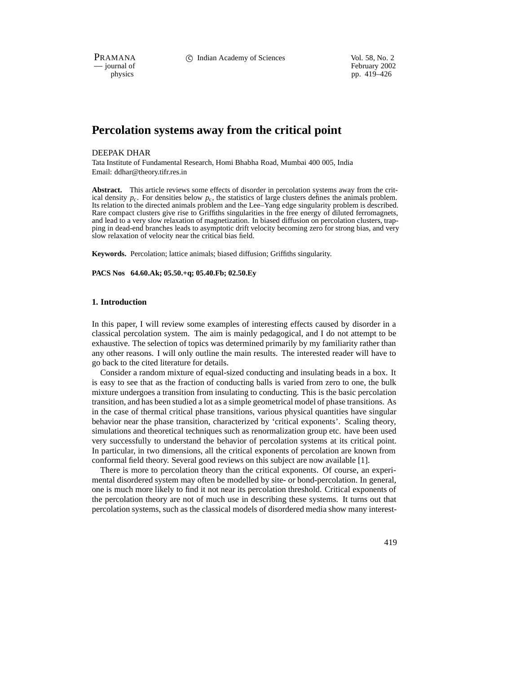PRAMANA c Indian Academy of Sciences Vol. 58, No. 2

physics<br>
pp. 419–426<br>
pp. 419–426 pp. 419–426

# **Percolation systems away from the critical point**

### DEEPAK DHAR

Tata Institute of Fundamental Research, Homi Bhabha Road, Mumbai 400 005, India Email: ddhar@theory.tifr.res.in

**Abstract.** This article reviews some effects of disorder in percolation systems away from the critical density  $p_c$ . For densities below  $p_c$ , the statistics of large clusters defines the animals problem. Its relation to the directed animals problem and the Lee–Yang edge singularity problem is described. Rare compact clusters give rise to Griffiths singularities in the free energy of diluted ferromagnets, and lead to a very slow relaxation of magnetization. In biased diffusion on percolation clusters, trapping in dead-end branches leads to asymptotic drift velocity becoming zero for strong bias, and very slow relaxation of velocity near the critical bias field.

**Keywords.** Percolation; lattice animals; biased diffusion; Griffiths singularity.

#### **PACS Nos 64.60.Ak; 05.50.+q; 05.40.Fb; 02.50.Ey**

#### **1. Introduction**

In this paper, I will review some examples of interesting effects caused by disorder in a classical percolation system. The aim is mainly pedagogical, and I do not attempt to be exhaustive. The selection of topics was determined primarily by my familiarity rather than any other reasons. I will only outline the main results. The interested reader will have to go back to the cited literature for details.

Consider a random mixture of equal-sized conducting and insulating beads in a box. It is easy to see that as the fraction of conducting balls is varied from zero to one, the bulk mixture undergoes a transition from insulating to conducting. This is the basic percolation transition, and has been studied a lot as a simple geometrical model of phase transitions. As in the case of thermal critical phase transitions, various physical quantities have singular behavior near the phase transition, characterized by 'critical exponents'. Scaling theory, simulations and theoretical techniques such as renormalization group etc. have been used very successfully to understand the behavior of percolation systems at its critical point. In particular, in two dimensions, all the critical exponents of percolation are known from conformal field theory. Several good reviews on this subject are now available [1].

There is more to percolation theory than the critical exponents. Of course, an experimental disordered system may often be modelled by site- or bond-percolation. In general, one is much more likely to find it not near its percolation threshold. Critical exponents of the percolation theory are not of much use in describing these systems. It turns out that percolation systems, such as the classical models of disordered media show many interest-

419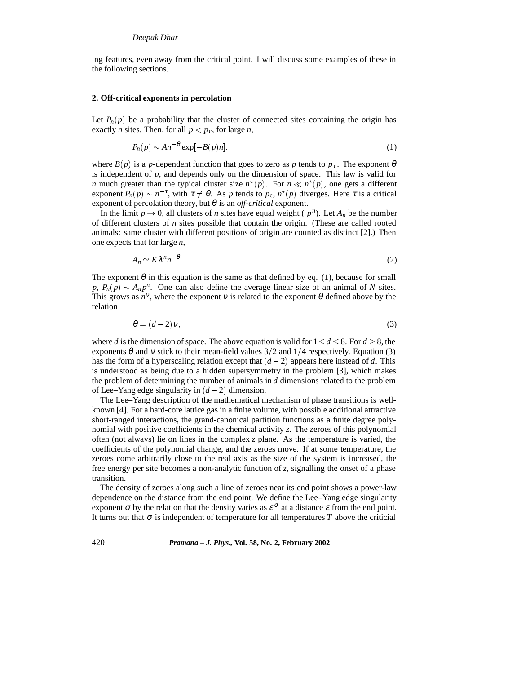ing features, even away from the critical point. I will discuss some examples of these in the following sections.

## **2. Off-critical exponents in percolation**

Let  $P_n(p)$  be a probability that the cluster of connected sites containing the origin has exactly *n* sites. Then, for all  $p < p_c$ , for large *n*,

$$
P_n(p) \sim An^{-\theta} \exp[-B(p)n],\tag{1}
$$

where  $B(p)$  is a *p*-dependent function that goes to zero as *p* tends to  $p_c$ . The exponent  $\theta$ is independent of *p*, and depends only on the dimension of space. This law is valid for *n* much greater than the typical cluster size  $n^*(p)$ . For  $n \ll n^*(p)$ , one gets a different exponent  $P_n(p) \sim n^{-\tau}$ , with  $\tau \neq \theta$ . As *p* tends to  $p_c$ ,  $n^*(p)$  diverges. Here  $\tau$  is a critical exponent of percolation theory, but  $\theta$  is an *off-critical* exponent.

In the limit  $p \rightarrow 0$ , all clusters of *n* sites have equal weight (  $p^n$ ). Let  $A_n$  be the number of different clusters of *n* sites possible that contain the origin. (These are called rooted animals: same cluster with different positions of origin are counted as distinct [2].) Then one expects that for large *n*,

$$
A_n \simeq K\lambda^n n^{-\theta}.\tag{2}
$$

The exponent  $\theta$  in this equation is the same as that defined by eq. (1), because for small  $p$ ,  $P_n(p) \sim A_n p^n$ . One can also define the average linear size of an animal of *N* sites. This grows as  $n<sup>v</sup>$ , where the exponent  $v$  is related to the exponent  $\theta$  defined above by the relation

$$
\theta = (d-2)\nu,\tag{3}
$$

where *d* is the dimension of space. The above equation is valid for  $1 \le d \le 8$ . For  $d \ge 8$ , the exponents  $\theta$  and v stick to their mean-field values  $3/2$  and  $1/4$  respectively. Equation (3) has the form of a hyperscaling relation except that  $(d-2)$  appears here instead of d. This is understood as being due to a hidden supersymmetry in the problem [3], which makes the problem of determining the number of animals in *d* dimensions related to the problem of Lee–Yang edge singularity in  $(d-2)$  dimension.

The Lee–Yang description of the mathematical mechanism of phase transitions is wellknown [4]. For a hard-core lattice gas in a finite volume, with possible additional attractive short-ranged interactions, the grand-canonical partition functions as a finite degree polynomial with positive coefficients in the chemical activity *z*. The zeroes of this polynomial often (not always) lie on lines in the complex *z* plane. As the temperature is varied, the coefficients of the polynomial change, and the zeroes move. If at some temperature, the zeroes come arbitrarily close to the real axis as the size of the system is increased, the free energy per site becomes a non-analytic function of *z*, signalling the onset of a phase transition.

The density of zeroes along such a line of zeroes near its end point shows a power-law dependence on the distance from the end point. We define the Lee–Yang edge singularity exponent  $\sigma$  by the relation that the density varies as  $\varepsilon^{\sigma}$  at a distance  $\varepsilon$  from the end point. It turns out that  $\sigma$  is independent of temperature for all temperatures *T* above the criticial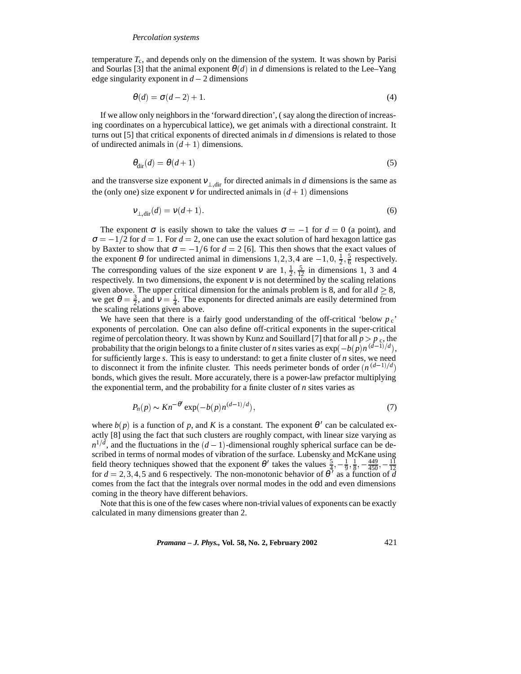#### *Percolation systems*

temperature  $T_c$ , and depends only on the dimension of the system. It was shown by Parisi and Sourlas [3] that the animal exponent  $\theta(d)$  in *d* dimensions is related to the Lee–Yang edge singularity exponent in  $d - 2$  dimensions

$$
\theta(d) = \sigma(d-2) + 1. \tag{4}
$$

If we allow only neighbors in the 'forward direction', ( say along the direction of increasing coordinates on a hypercubical lattice), we get animals with a directional constraint. It turns out [5] that critical exponents of directed animals in *d* dimensions is related to those of undirected animals in  $(d + 1)$  dimensions.

$$
\theta_{\rm dir}(d) = \theta(d+1) \tag{5}
$$

and the transverse size exponent  $v_{\perp,dir}$  for directed animals in *d* dimensions is the same as the (only one) size exponent v for undirected animals in  $(d + 1)$  dimensions

$$
v_{\perp,dir}(d) = v(d+1). \tag{6}
$$

The exponent  $\sigma$  is easily shown to take the values  $\sigma = -1$  for  $d = 0$  (a point), and  $\sigma = -1/2$  for  $d = 1$ . For  $d = 2$ , one can use the exact solution of hard hexagon lattice gas by Baxter to show that  $\sigma = -1/6$  for  $d = 2$  [6]. This then shows that the exact values of the exponent  $\theta$  for undirected animal in dimensions 1,2,3,4 are  $-1, 0, \frac{1}{2}, \frac{5}{6}$  respectively. The corresponding values of the size exponent v are  $1, \frac{1}{2}, \frac{5}{12}$  in dimensions 1, 3 and 4 respectively. In two dimensions, the exponent  $v$  is not determined by the scaling relations given above. The upper critical dimension for the animals problem is 8, and for all  $d \ge 8$ , we get  $\theta = \frac{3}{2}$ , and  $v = \frac{1}{4}$ . The exponents for directed animals are easily determined from the scaling relations given above.

We have seen that there is a fairly good understanding of the off-critical 'below  $p_c$ ' exponents of percolation. One can also define off-critical exponents in the super-critical regime of percolation theory. It was shown by Kunz and Souillard [7] that for all  $p > p_c$ , the probability that the origin belongs to a finite cluster of *n* sites varies as  $\exp(-b(p)n^{(d-1)/d})$ , for sufficiently large *s*. This is easy to understand: to get a finite cluster of *n* sites, we need to disconnect it from the infinite cluster. This needs perimeter bonds of order  $(n^{(d-1)/d})$ bonds, which gives the result. More accurately, there is a power-law prefactor multiplying the exponential term, and the probability for a finite cluster of *n* sites varies as

$$
P_n(p) \sim Kn^{-\theta'} \exp(-b(p)n^{(d-1)/d}),\tag{7}
$$

where  $b(p)$  is a function of p, and K is a constant. The exponent  $\theta'$  can be calculated exactly [8] using the fact that such clusters are roughly compact, with linear size varying as  $n^{1/d}$ , and the fluctuations in the  $(d-1)$ -dimensional roughly spherical surface can be described in terms of normal modes of vibration of the surface. Lubensky and McKane using field theory techniques showed that the exponent  $\theta'$  takes the values  $\frac{5}{4}$ ,  $-\frac{1}{9}$ ,  $\frac{1}{8}$ ,  $-\frac{449}{450}$ ,  $-\frac{11}{12}$  for  $d = 2, 3, 4, 5$  and 6 respectively. The non-monotonic behavior of  $\theta'$  as a function comes from the fact that the integrals over normal modes in the odd and even dimensions coming in the theory have different behaviors.

Note that this is one of the few cases where non-trivial values of exponents can be exactly calculated in many dimensions greater than 2.

*Pramana – J. Phys.,* **Vol. 58, No. 2, February 2002** 421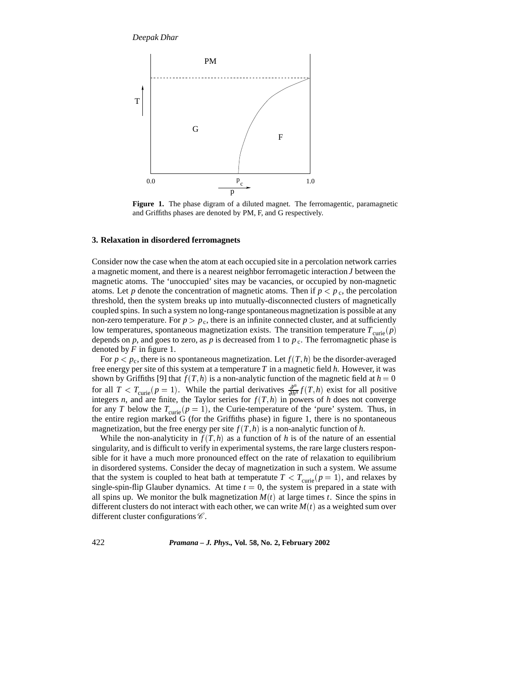

**Figure 1.** The phase digram of a diluted magnet. The ferromagentic, paramagnetic and Griffiths phases are denoted by PM, F, and G respectively.

## **3. Relaxation in disordered ferromagnets**

Consider now the case when the atom at each occupied site in a percolation network carries a magnetic moment, and there is a nearest neighbor ferromagetic interaction *J* between the magnetic atoms. The 'unoccupied' sites may be vacancies, or occupied by non-magnetic atoms. Let *p* denote the concentration of magnetic atoms. Then if  $p < p_c$ , the percolation threshold, then the system breaks up into mutually-disconnected clusters of magnetically coupled spins. In such a system no long-range spontaneous magnetization is possible at any non-zero temperature. For  $p > p_c$ , there is an infinite connected cluster, and at sufficiently low temperatures, spontaneous magnetization exists. The transition temperature  $T_{\text{curie}}(p)$ depends on  $p$ , and goes to zero, as  $p$  is decreased from 1 to  $p_c$ . The ferromagnetic phase is denoted by *F* in figure 1.

For  $p < p_c$ , there is no spontaneous magnetization. Let  $f(T, h)$  be the disorder-averaged free energy per site of this system at a temperature *T* in a magnetic field *h*. However, it was shown by Griffiths [9] that  $f(T, h)$  is a non-analytic function of the magnetic field at  $h = 0$ for all  $T < T_{\text{curie}}(p = 1)$ . While the partial derivatives  $\frac{\partial^n}{\partial h^n} f(T, h)$  exist for all positive integers *n*, and are finite, the Taylor series for  $f(T, h)$  in powers of *h* does not converge for any *T* below the  $T_{\text{curie}}(p=1)$ , the Curie-temperature of the 'pure' system. Thus, in the entire region marked G (for the Griffiths phase) in figure 1, there is no spontaneous magnetization, but the free energy per site  $f(T, h)$  is a non-analytic function of h.

While the non-analyticity in  $f(T, h)$  as a function of h is of the nature of an essential singularity, and is difficult to verify in experimental systems, the rare large clusters responsible for it have a much more pronounced effect on the rate of relaxation to equilibrium in disordered systems. Consider the decay of magnetization in such a system. We assume that the system is coupled to heat bath at temperature  $T < T_{\text{curie}}(p = 1)$ , and relaxes by single-spin-flip Glauber dynamics. At time  $t = 0$ , the system is prepared in a state with all spins up. We monitor the bulk magnetization  $M(t)$  at large times *t*. Since the spins in different clusters do not interact with each other, we can write  $M(t)$  as a weighted sum over different cluster configurations  $\mathscr{C}$ .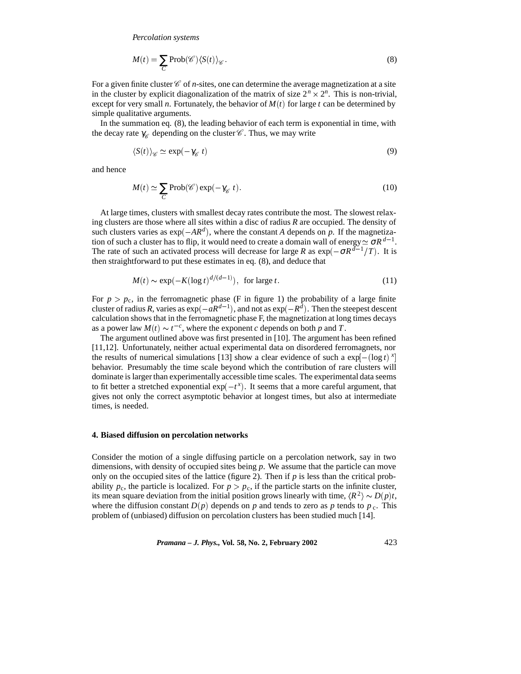*Percolation systems*

$$
M(t) = \sum_{C} \text{Prob}(\mathcal{C}) \langle S(t) \rangle_{\mathcal{C}}.
$$
 (8)

For a given finite cluster  $\mathscr C$  of *n*-sites, one can determine the average magnetization at a site in the cluster by explicit diagonalization of the matrix of size  $2^n \times 2^n$ . This is non-trivial, except for very small *n*. Fortunately, the behavior of  $M(t)$  for large *t* can be determined by simple qualitative arguments.

In the summation eq. (8), the leading behavior of each term is exponential in time, with the decay rate  $\gamma_{\mathscr{C}}$  depending on the cluster  $\mathscr{C}$ . Thus, we may write

$$
\langle S(t) \rangle_{\mathscr{C}} \simeq \exp(-\gamma_{\mathscr{C}} t) \tag{9}
$$

and hence

$$
M(t) \simeq \sum_{C} \text{Prob}(\mathcal{C}) \exp(-\gamma_{\mathcal{C}} t). \tag{10}
$$

At large times, clusters with smallest decay rates contribute the most. The slowest relaxing clusters are those where all sites within a disc of radius *R* are occupied. The density of such clusters varies as  $exp(-AR^d)$ , where the constant *A* depends on *p*. If the magnetization of such a cluster has to flip, it would need to create a domain wall of energy  $\simeq \sigma R^{d-1}$ . The rate of such an activated process will decrease for large *R* as  $\exp(-\sigma R^{\bar{d}-1}/T)$ . It is then straightforward to put these estimates in eq. (8), and deduce that

$$
M(t) \sim \exp(-K(\log t)^{d/(d-1)}), \text{ for large } t. \tag{11}
$$

For  $p > p_c$ , in the ferromagnetic phase (F in figure 1) the probability of a large finite cluster of radius *R*, varies as  $\exp(-aR^{d-1})$ , and not as  $\exp(-R^d)$ . Then the steepest descent calculation shows that in the ferromagnetic phase F, the magnetization at long times decays as a power law  $M(t) \sim t^{-c}$ , where the exponent *c* depends on both *p* and *T*.

The argument outlined above was first presented in [10]. The argument has been refined [11,12]. Unfortunately, neither actual experimental data on disordered ferromagnets, nor the results of numerical simulations [13] show a clear evidence of such a  $\exp[-(\log t)^{x}]$ behavior. Presumably the time scale beyond which the contribution of rare clusters will dominate is larger than experimentally accessible time scales. The experimental data seems to fit better a stretched exponential  $exp(-t^x)$ . It seems that a more careful argument, that gives not only the correct asymptotic behavior at longest times, but also at intermediate times, is needed.

## **4. Biased diffusion on percolation networks**

Consider the motion of a single diffusing particle on a percolation network, say in two dimensions, with density of occupied sites being *p*. We assume that the particle can move only on the occupied sites of the lattice (figure 2). Then if  $p$  is less than the critical probability  $p_c$ , the particle is localized. For  $p > p_c$ , if the particle starts on the infinite cluster, its mean square deviation from the initial position grows linearly with time,  $\langle R^2 \rangle \sim D(p)t$ , where the diffusion constant  $D(p)$  depends on p and tends to zero as p tends to  $p_c$ . This problem of (unbiased) diffusion on percolation clusters has been studied much [14].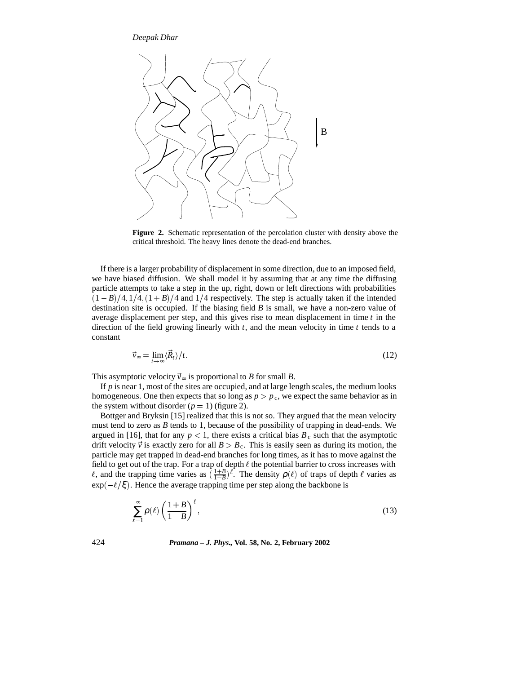# *Deepak Dhar*



**Figure 2.** Schematic representation of the percolation cluster with density above the critical threshold. The heavy lines denote the dead-end branches.

If there is a larger probability of displacement in some direction, due to an imposed field, we have biased diffusion. We shall model it by assuming that at any time the diffusing particle attempts to take a step in the up, right, down or left directions with probabilities  $(1 - B)/4$ ,  $1/4$ ,  $(1 + B)/4$  and  $1/4$  respectively. The step is actually taken if the intended destination site is occupied. If the biasing field *B* is small, we have a non-zero value of average displacement per step, and this gives rise to mean displacement in time *t* in the direction of the field growing linearly with *t*, and the mean velocity in time *t* tends to a constant

$$
\vec{v}_{\infty} = \lim_{t \to \infty} \langle \vec{R}_t \rangle / t. \tag{12}
$$

This asymptotic velocity  $\vec{v}_\infty$  is proportional to *B* for small *B*.

If *p* is near 1, most of the sites are occupied, and at large length scales, the medium looks homogeneous. One then expects that so long as  $p > p_c$ , we expect the same behavior as in the system without disorder  $(p = 1)$  (figure 2).

Bottger and Bryksin [15] realized that this is not so. They argued that the mean velocity must tend to zero as *B* tends to 1, because of the possibility of trapping in dead-ends. We argued in [16], that for any  $p < 1$ , there exists a critical bias  $B_c$  such that the asymptotic drift velocity  $\vec{v}$  is exactly zero for all  $B > B_c$ . This is easily seen as during its motion, the particle may get trapped in dead-end branches for long times, as it has to move against the field to get out of the trap. For a trap of depth  $\ell$  the potential barrier to cross increases with  $\ell$ , and the trapping time varies as  $\left(\frac{1+B}{1-B}\right)^{\ell}$ . The density  $\rho(\ell)$  of traps of depth  $\ell$  varies as  $\exp(-\ell/\xi)$ . Hence the average trapping time per step along the backbone is

$$
\sum_{\ell=1}^{\infty} \rho(\ell) \left( \frac{1+B}{1-B} \right)^{\ell},\tag{13}
$$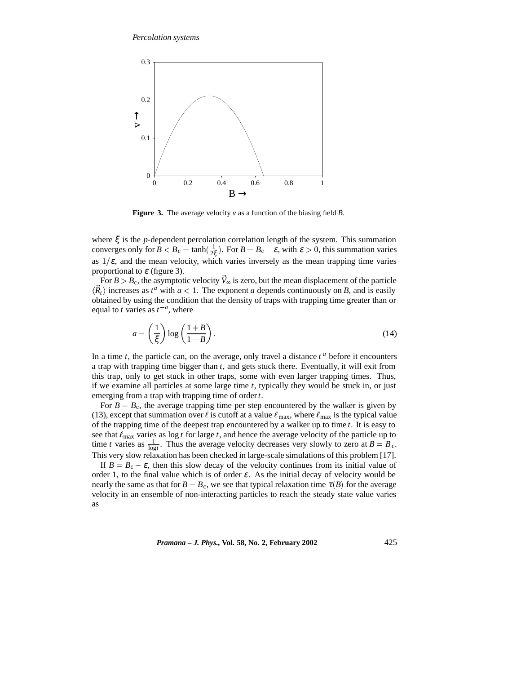

**Figure 3.** The average velocity *v* as a function of the biasing field *B*.

where  $\xi$  is the *p*-dependent percolation correlation length of the system. This summation converges only for  $\hat{B} < B_c = \tanh(\frac{1}{2\xi})$ . For  $B = B_c - \varepsilon$ , with  $\varepsilon > 0$ , this summation varies as  $1/\varepsilon$ , and the mean velocity, which varies inversely as the mean trapping time varies proportional to  $\varepsilon$  (figure 3).

For  $B > B_c$ , the asymptotic velocity  $\vec{V}_{\infty}$  is zero, but the mean displacement of the particle  $\langle \vec{R}_t \rangle$  increases as  $t^a$  with  $a < 1$ . The exponent *a* depends continuously on *B*, and is easily obtained by using the condition that the density of traps with trapping time greater than or equal to *t* varies as  $t^{-a}$ , where

$$
a = \left(\frac{1}{\xi}\right) \log \left(\frac{1+B}{1-B}\right). \tag{14}
$$

In a time  $t$ , the particle can, on the average, only travel a distance  $t^a$  before it encounters a trap with trapping time bigger than *t*, and gets stuck there. Eventually, it will exit from this trap, only to get stuck in other traps, some with even larger trapping times. Thus, if we examine all particles at some large time *t*, typically they would be stuck in, or just emerging from a trap with trapping time of order*t*.

For  $B = B<sub>c</sub>$ , the average trapping time per step encountered by the walker is given by (13), except that summation over  $\ell$  is cutoff at a value  $\ell_{\text{max}}$ , where  $\ell_{\text{max}}$  is the typical value of the trapping time of the deepest trap encountered by a walker up to time *t*. It is easy to see that  $\ell_{\text{max}}$  varies as log *t* for large *t*, and hence the average velocity of the particle up to time *t* varies as  $\frac{1}{\log t}$ . Thus the average velocity decreases very slowly to zero at  $B = B_c$ . This very slow relaxation has been checked in large-scale simulations of this problem [17].

If  $B = B_c - \varepsilon$ , then this slow decay of the velocity continues from its initial value of order 1, to the final value which is of order  $\varepsilon$ . As the initial decay of velocity would be nearly the same as that for  $B = B_c$ , we see that typical relaxation time  $\tau(B)$  for the average velocity in an ensemble of non-interacting particles to reach the steady state value varies as